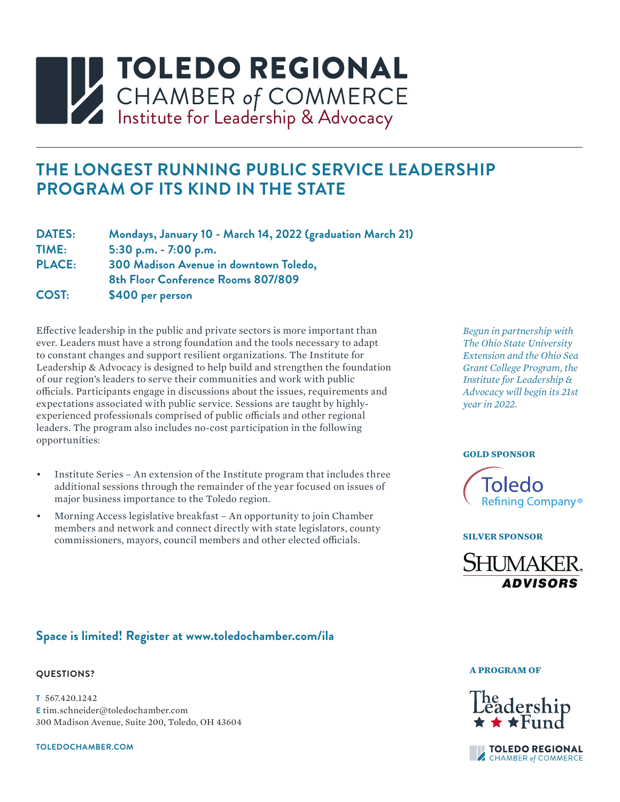# **INSTITUTEDO REGIONAL<br>CHAMBER of COMMERCE**<br>Institute for Leadership & Advocacy

# **THE LONGEST RUNNING PUBLIC SERVICE LEADERSHIP PROGRAM OF ITS KIND IN THE STATE**

| <b>DATES:</b> | Mondays, January 10 - March 14, 2022 (graduation March 21) |
|---------------|------------------------------------------------------------|
| TIME:         | 5:30 p.m. $-7:00$ p.m.                                     |
| <b>PLACE:</b> | 300 Madison Avenue in downtown Toledo,                     |
|               | 8th Floor Conference Rooms 807/809                         |
| COST:         | \$400 per person                                           |

Effective leadership in the public and private sectors is more important than ever. Leaders must have a strong foundation and the tools necessary to adapt to constant changes and support resilient organizations. The Institute for Leadership & Advocacy is designed to help build and strengthen the foundation of our region's leaders to serve their communities and work with public officials. Participants engage in discussions about the issues, requirements and expectations associated with public service. Sessions are taught by highlyexperienced professionals comprised of public officials and other regional leaders. The program also includes no-cost participation in the following opportunities:

- Institute Series An extension of the Institute program that includes three additional sessions through the remainder of the year focused on issues of major business importance to the Toledo region.
- Morning Access legislative breakfast An opportunity to join Chamber members and network and connect directly with state legislators, county commissioners, mayors, council members and other elected officials.

*Begun in partnership with The Ohio State University Extension and the Ohio Sea Grant College Program, the Institute for Leadership & Advocacy will begin its 21st year in 2022.* 

#### **GOLD SPONSOR**



#### **SILVER SPONSOR**



# **Space is limited! Register at www.toledochamber.com/ila**

#### **QUESTIONS?**

**T** 567.420.1242 **E** tim.schneider@toledochamber.com 300 Madison Avenue, Suite 200, Toledo, OH 43604

**TOLEDOCHAMBER.COM**

#### **A PROGRAM OF**